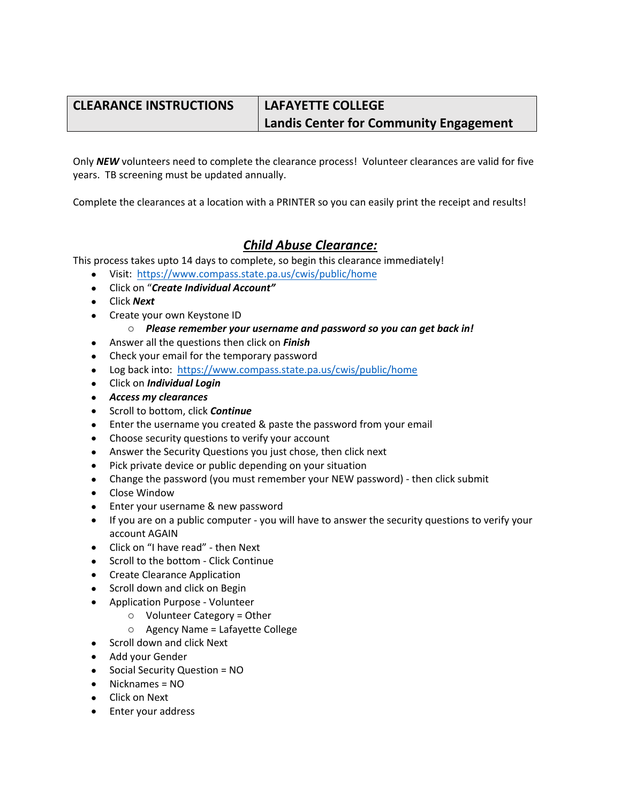## **CLEARANCE INSTRUCTIONS LAFAYETTE COLLEGE**

# **Landis Center for Community Engagement**

Only *NEW* volunteers need to complete the clearance process! Volunteer clearances are valid for five years. TB screening must be updated annually.

Complete the clearances at a location with a PRINTER so you can easily print the receipt and results!

## *Child Abuse Clearance:*

This process takes upto 14 days to complete, so begin this clearance immediately!

- Visit: https://www.compass.state.pa.us/cwis/public/home
- Click on "*Create Individual Account"*
- Click *Next*
- Create your own Keystone ID

#### o *Please remember your username and password so you can get back in!*

- Answer all the questions then click on *Finish*
- Check your email for the temporary password
- Log back into: https://www.compass.state.pa.us/cwis/public/home
- Click on *Individual Login*
- *Access my clearances*
- Scroll to bottom, click *Continue*
- Enter the username you created & paste the password from your email
- Choose security questions to verify your account
- Answer the Security Questions you just chose, then click next
- Pick private device or public depending on your situation
- Change the password (you must remember your NEW password) then click submit
- Close Window
- Enter your username & new password
- If you are on a public computer you will have to answer the security questions to verify your account AGAIN
- Click on "I have read" then Next
- Scroll to the bottom Click Continue
- Create Clearance Application
- Scroll down and click on Begin
- Application Purpose Volunteer
	- o Volunteer Category = Other
	- o Agency Name = Lafayette College
- Scroll down and click Next
- Add your Gender
- Social Security Question = NO
- Nicknames = NO
- Click on Next
- Enter your address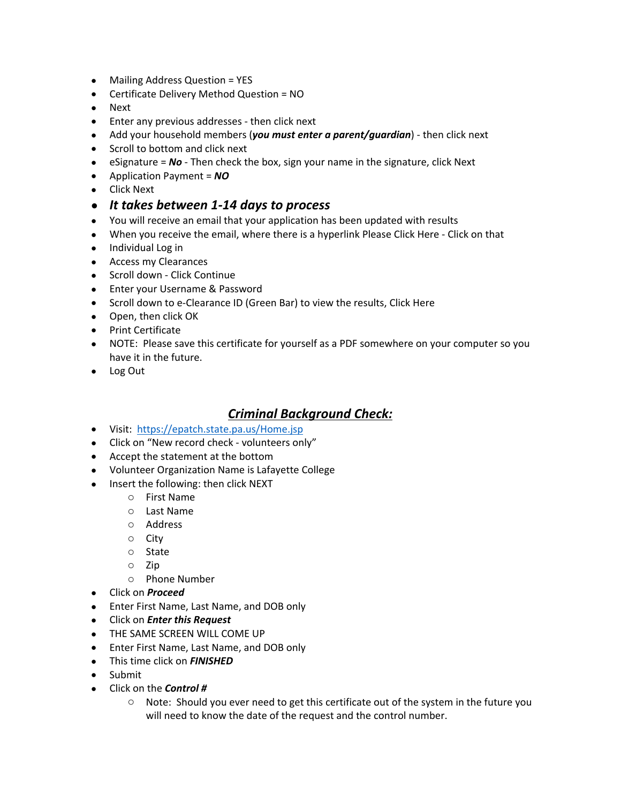- Mailing Address Question = YES
- Certificate Delivery Method Question = NO
- Next
- Enter any previous addresses then click next
- Add your household members (*you must enter a parent/guardian*) then click next
- Scroll to bottom and click next
- eSignature = *No* Then check the box, sign your name in the signature, click Next
- Application Payment = *NO*
- Click Next
- *It takes between 1-14 days to process*
- You will receive an email that your application has been updated with results
- When you receive the email, where there is a hyperlink Please Click Here Click on that
- Individual Log in
- Access my Clearances
- Scroll down Click Continue
- Enter your Username & Password
- Scroll down to e-Clearance ID (Green Bar) to view the results, Click Here
- Open, then click OK
- Print Certificate
- NOTE: Please save this certificate for yourself as a PDF somewhere on your computer so you have it in the future.
- Log Out

#### *Criminal Background Check:*

- Visit: https://epatch.state.pa.us/Home.jsp
- Click on "New record check volunteers only"
- Accept the statement at the bottom
- Volunteer Organization Name is Lafayette College
- Insert the following: then click NEXT
	- o First Name
	- o Last Name
	- o Address
	- o City
	- o State
	- o Zip
	- o Phone Number
- Click on *Proceed*
- Enter First Name, Last Name, and DOB only
- Click on *Enter this Request*
- THE SAME SCREEN WILL COME UP
- Enter First Name, Last Name, and DOB only
- This time click on *FINISHED*
- Submit
- Click on the *Control #*
	- o Note: Should you ever need to get this certificate out of the system in the future you will need to know the date of the request and the control number.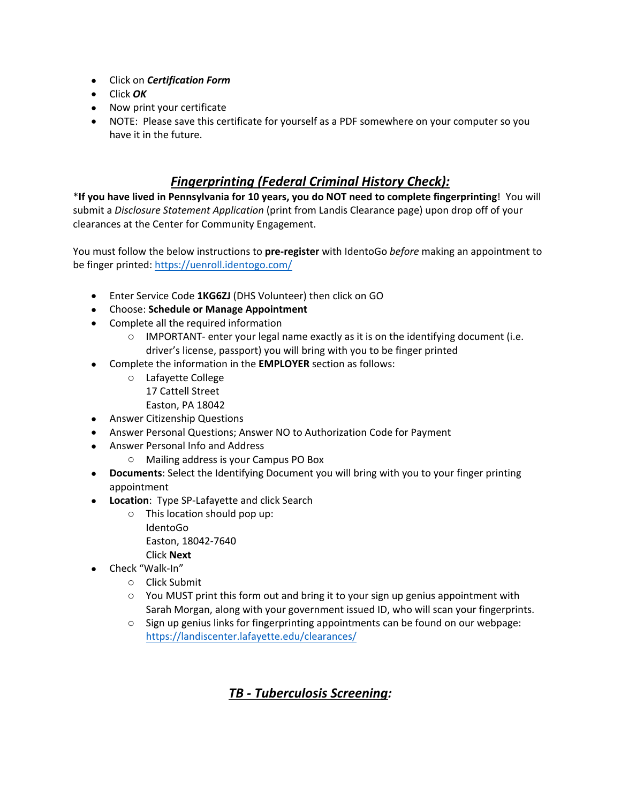- Click on *Certification Form*
- Click *OK*
- Now print your certificate
- NOTE: Please save this certificate for yourself as a PDF somewhere on your computer so you have it in the future.

### *Fingerprinting (Federal Criminal History Check):*

\***If you have lived in Pennsylvania for 10 years, you do NOT need to complete fingerprinting**! You will submit a *Disclosure Statement Application* (print from Landis Clearance page) upon drop off of your clearances at the Center for Community Engagement.

You must follow the below instructions to **pre-register** with IdentoGo *before* making an appointment to be finger printed: https://uenroll.identogo.com/

- Enter Service Code **1KG6ZJ** (DHS Volunteer) then click on GO
- Choose: **Schedule or Manage Appointment**
- Complete all the required information
	- $\circ$  IMPORTANT- enter your legal name exactly as it is on the identifying document (i.e. driver's license, passport) you will bring with you to be finger printed
- Complete the information in the **EMPLOYER** section as follows:
	- o Lafayette College 17 Cattell Street Easton, PA 18042
- Answer Citizenship Questions
- Answer Personal Questions; Answer NO to Authorization Code for Payment
- Answer Personal Info and Address
	- o Mailing address is your Campus PO Box
- **Documents**: Select the Identifying Document you will bring with you to your finger printing appointment
- **Location**: Type SP-Lafayette and click Search
	- o This location should pop up: IdentoGo Easton, 18042-7640 Click **Next**
		-
- Check "Walk-In"
	- o Click Submit
	- $\circ$  You MUST print this form out and bring it to your sign up genius appointment with Sarah Morgan, along with your government issued ID, who will scan your fingerprints.
	- $\circ$  Sign up genius links for fingerprinting appointments can be found on our webpage: https://landiscenter.lafayette.edu/clearances/

## *TB - Tuberculosis Screening:*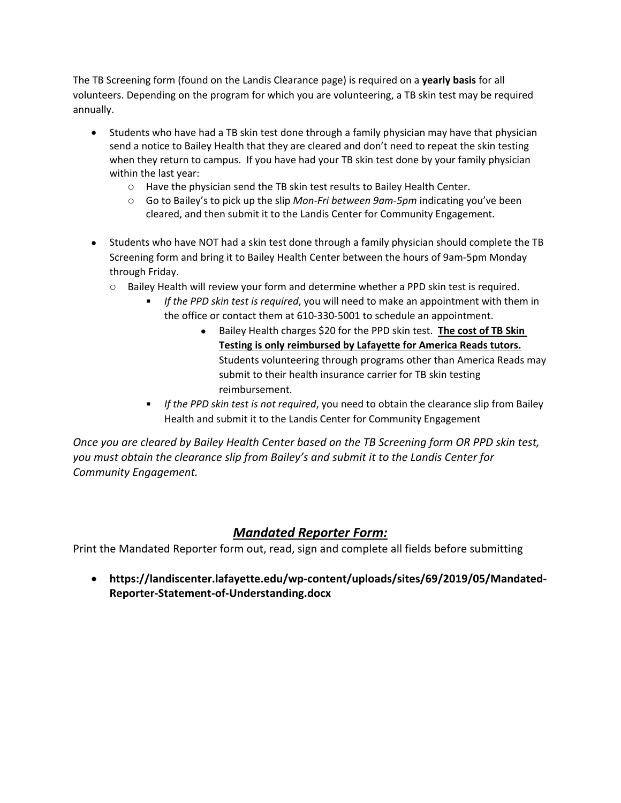The TB Screening form (found on the Landis Clearance page) is required on a **yearly basis** for all volunteers. Depending on the program for which you are volunteering, a TB skin test may be required annually.

- Students who have had a TB skin test done through a family physician may have that physician send a notice to Bailey Health that they are cleared and don't need to repeat the skin testing when they return to campus. If you have had your TB skin test done by your family physician within the last year:
	- o Have the physician send the TB skin test results to Bailey Health Center.
	- o Go to Bailey's to pick up the slip *Mon-Fri between 9am-5pm* indicating you've been cleared, and then submit it to the Landis Center for Community Engagement.
- Students who have NOT had a skin test done through a family physician should complete the TB Screening form and bring it to Bailey Health Center between the hours of 9am-5pm Monday through Friday.
	- o Bailey Health will review your form and determine whether a PPD skin test is required.
		- *If the PPD skin test is required*, you will need to make an appointment with them in the office or contact them at 610-330-5001 to schedule an appointment.
			- **Bailey Health charges \$20 for the PPD skin test. The cost of TB Skin Testing is only reimbursed by Lafayette for America Reads tutors.** Students volunteering through programs other than America Reads may submit to their health insurance carrier for TB skin testing reimbursement.
		- *If the PPD skin test is not required*, you need to obtain the clearance slip from Bailey Health and submit it to the Landis Center for Community Engagement

*Once you are cleared by Bailey Health Center based on the TB Screening form OR PPD skin test, you must obtain the clearance slip from Bailey's and submit it to the Landis Center for Community Engagement.*

## *Mandated Reporter Form:*

Print the Mandated Reporter form out, read, sign and complete all fields before submitting

 **https://landiscenter.lafayette.edu/wp-content/uploads/sites/69/2019/05/Mandated-Reporter-Statement-of-Understanding.docx**